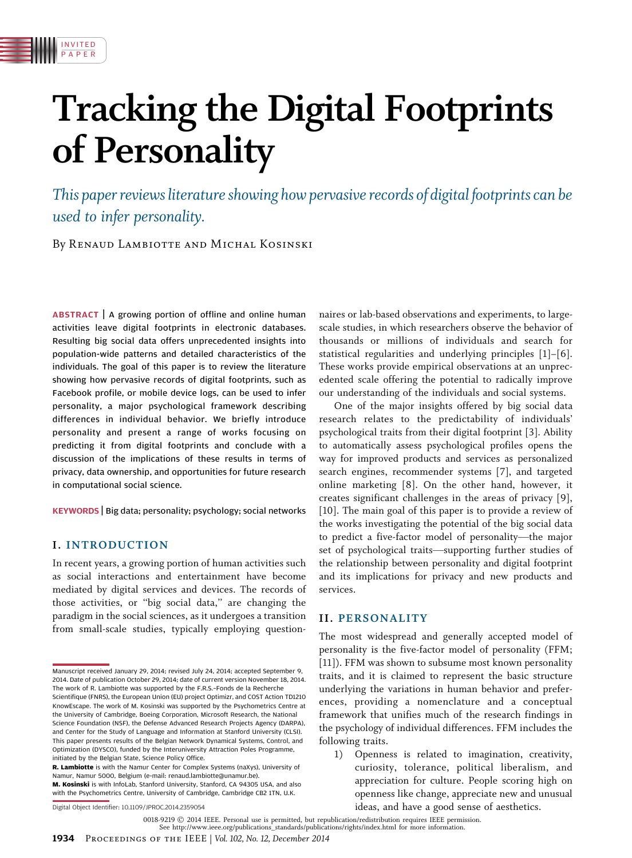# Tracking the Digital Footprints of Personality

This paper reviews literature showing how pervasive records of digital footprints can be used to infer personality.

By Renaud Lambiotte and Michal Kosinski

ABSTRACT | A growing portion of offline and online human activities leave digital footprints in electronic databases. Resulting big social data offers unprecedented insights into population-wide patterns and detailed characteristics of the individuals. The goal of this paper is to review the literature showing how pervasive records of digital footprints, such as Facebook profile, or mobile device logs, can be used to infer personality, a major psychological framework describing differences in individual behavior. We briefly introduce personality and present a range of works focusing on predicting it from digital footprints and conclude with a discussion of the implications of these results in terms of privacy, data ownership, and opportunities for future research in computational social science.

KEYWORDS | Big data; personality; psychology; social networks

# I. INTRODUCTION

INVITED PAPER

In recent years, a growing portion of human activities such as social interactions and entertainment have become mediated by digital services and devices. The records of those activities, or ''big social data,'' are changing the paradigm in the social sciences, as it undergoes a transition from small-scale studies, typically employing question-

Digital Object Identifier: 10.1109/JPROC.2014.2359054

naires or lab-based observations and experiments, to largescale studies, in which researchers observe the behavior of thousands or millions of individuals and search for statistical regularities and underlying principles [1]–[6]. These works provide empirical observations at an unprecedented scale offering the potential to radically improve our understanding of the individuals and social systems.

One of the major insights offered by big social data research relates to the predictability of individuals' psychological traits from their digital footprint [3]. Ability to automatically assess psychological profiles opens the way for improved products and services as personalized search engines, recommender systems [7], and targeted online marketing [8]. On the other hand, however, it creates significant challenges in the areas of privacy [9], [10]. The main goal of this paper is to provide a review of the works investigating the potential of the big social data to predict a five-factor model of personality—the major set of psychological traits—supporting further studies of the relationship between personality and digital footprint and its implications for privacy and new products and services.

### II. PERSONALITY

The most widespread and generally accepted model of personality is the five-factor model of personality (FFM; [11]). FFM was shown to subsume most known personality traits, and it is claimed to represent the basic structure underlying the variations in human behavior and preferences, providing a nomenclature and a conceptual framework that unifies much of the research findings in the psychology of individual differences. FFM includes the following traits.

1) Openness is related to imagination, creativity, curiosity, tolerance, political liberalism, and appreciation for culture. People scoring high on openness like change, appreciate new and unusual ideas, and have a good sense of aesthetics.

Manuscript received January 29, 2014; revised July 24, 2014; accepted September 9, 2014. Date of publication October 29, 2014; date of current version November 18, 2014. The work of R. Lambiotte was supported by the F.R.S.–Fonds de la Recherche Scientifique (FNRS), the European Union (EU) project Optimizr, and COST Action TD1210 KnowEscape. The work of M. Kosinski was supported by the Psychometrics Centre at the University of Cambridge, Boeing Corporation, Microsoft Research, the National Science Foundation (NSF), the Defense Advanced Research Projects Agency (DARPA), and Center for the Study of Language and Information at Stanford University (CLSI). This paper presents results of the Belgian Network Dynamical Systems, Control, and Optimization (DYSCO), funded by the Interuniversity Attraction Poles Programme, initiated by the Belgian State, Science Policy Office.

**R. Lambiotte** is with the Namur Center for Complex Systems (naXys), University of Namur, Namur 5000, Belgium (e-mail: renaud.lambiotte@unamur.be).

M. Kosinski is with InfoLab, Stanford University, Stanford, CA 94305 USA, and also with the Psychometrics Centre, University of Cambridge, Cambridge CB2 1TN, U.K.

<sup>0018-9219</sup>  $\odot$  2014 IEEE. Personal use is permitted, but republication/redistribution requires IEEE permission.

See http://www.ieee.org/publications\_standards/publications/rights/index.html for more information.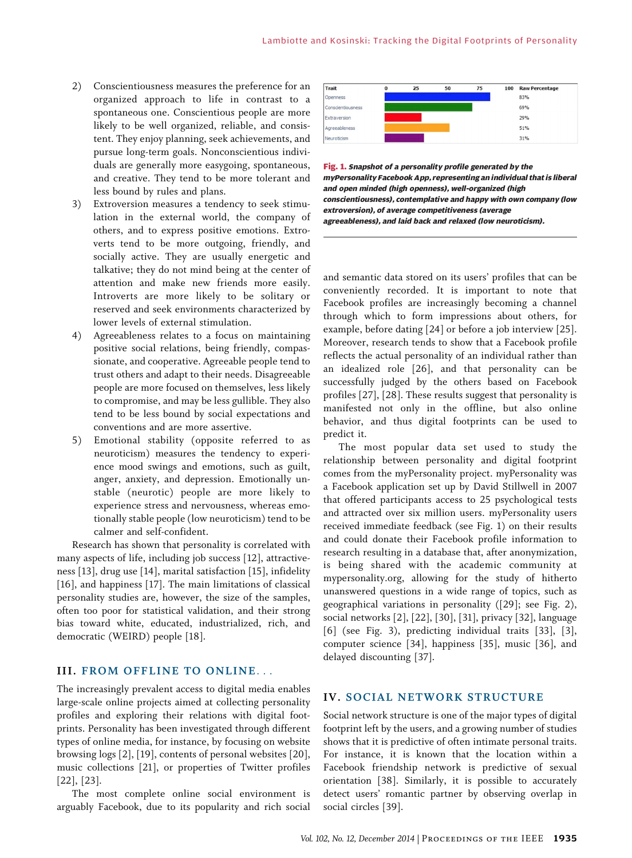- 2) Conscientiousness measures the preference for an organized approach to life in contrast to a spontaneous one. Conscientious people are more likely to be well organized, reliable, and consistent. They enjoy planning, seek achievements, and pursue long-term goals. Nonconscientious individuals are generally more easygoing, spontaneous, and creative. They tend to be more tolerant and less bound by rules and plans.
- 3) Extroversion measures a tendency to seek stimulation in the external world, the company of others, and to express positive emotions. Extroverts tend to be more outgoing, friendly, and socially active. They are usually energetic and talkative; they do not mind being at the center of attention and make new friends more easily. Introverts are more likely to be solitary or reserved and seek environments characterized by lower levels of external stimulation.
- 4) Agreeableness relates to a focus on maintaining positive social relations, being friendly, compassionate, and cooperative. Agreeable people tend to trust others and adapt to their needs. Disagreeable people are more focused on themselves, less likely to compromise, and may be less gullible. They also tend to be less bound by social expectations and conventions and are more assertive.
- 5) Emotional stability (opposite referred to as neuroticism) measures the tendency to experience mood swings and emotions, such as guilt, anger, anxiety, and depression. Emotionally unstable (neurotic) people are more likely to experience stress and nervousness, whereas emotionally stable people (low neuroticism) tend to be calmer and self-confident.

Research has shown that personality is correlated with many aspects of life, including job success [12], attractiveness [13], drug use [14], marital satisfaction [15], infidelity [16], and happiness [17]. The main limitations of classical personality studies are, however, the size of the samples, often too poor for statistical validation, and their strong bias toward white, educated, industrialized, rich, and democratic (WEIRD) people [18].

# III. FROM OFFLINE TO ONLINE...

The increasingly prevalent access to digital media enables large-scale online projects aimed at collecting personality profiles and exploring their relations with digital footprints. Personality has been investigated through different types of online media, for instance, by focusing on website browsing logs [2], [19], contents of personal websites [20], music collections [21], or properties of Twitter profiles [22], [23].

The most complete online social environment is arguably Facebook, due to its popularity and rich social



Fig. 1. Snapshot of a personality profile generated by the myPersonality Facebook App, representing an individual that is liberal and open minded (high openness), well-organized (high conscientiousness), contemplative and happy with own company (low extroversion), of average competitiveness (average agreeableness), and laid back and relaxed (low neuroticism).

and semantic data stored on its users' profiles that can be conveniently recorded. It is important to note that Facebook profiles are increasingly becoming a channel through which to form impressions about others, for example, before dating [24] or before a job interview [25]. Moreover, research tends to show that a Facebook profile reflects the actual personality of an individual rather than an idealized role [26], and that personality can be successfully judged by the others based on Facebook profiles [27], [28]. These results suggest that personality is manifested not only in the offline, but also online behavior, and thus digital footprints can be used to predict it.

The most popular data set used to study the relationship between personality and digital footprint comes from the myPersonality project. myPersonality was a Facebook application set up by David Stillwell in 2007 that offered participants access to 25 psychological tests and attracted over six million users. myPersonality users received immediate feedback (see Fig. 1) on their results and could donate their Facebook profile information to research resulting in a database that, after anonymization, is being shared with the academic community at mypersonality.org, allowing for the study of hitherto unanswered questions in a wide range of topics, such as geographical variations in personality ([29]; see Fig. 2), social networks [2], [22], [30], [31], privacy [32], language [6] (see Fig. 3), predicting individual traits [33], [3], computer science [34], happiness [35], music [36], and delayed discounting [37].

# IV. SOCIAL NETWORK STRUCTURE

Social network structure is one of the major types of digital footprint left by the users, and a growing number of studies shows that it is predictive of often intimate personal traits. For instance, it is known that the location within a Facebook friendship network is predictive of sexual orientation [38]. Similarly, it is possible to accurately detect users' romantic partner by observing overlap in social circles [39].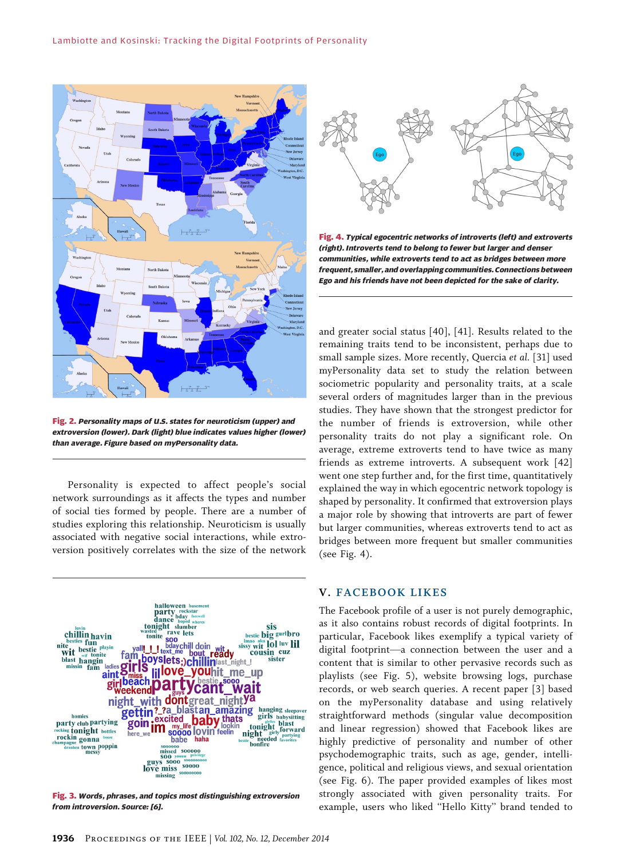

Fig. 2. Personality maps of U.S. states for neuroticism (upper) and extroversion (lower). Dark (light) blue indicates values higher (lower) than average. Figure based on myPersonality data.

Personality is expected to affect people's social network surroundings as it affects the types and number of social ties formed by people. There are a number of studies exploring this relationship. Neuroticism is usually associated with negative social interactions, while extroversion positively correlates with the size of the network



Fig. 3. Words, phrases, and topics most distinguishing extroversion from introversion. Source: [6].



Fig. 4. Typical egocentric networks of introverts (left) and extroverts (right). Introverts tend to belong to fewer but larger and denser communities, while extroverts tend to act as bridges between more frequent, smaller, and overlapping communities. Connections between Ego and his friends have not been depicted for the sake of clarity.

and greater social status [40], [41]. Results related to the remaining traits tend to be inconsistent, perhaps due to small sample sizes. More recently, Quercia et al. [31] used myPersonality data set to study the relation between sociometric popularity and personality traits, at a scale several orders of magnitudes larger than in the previous studies. They have shown that the strongest predictor for the number of friends is extroversion, while other personality traits do not play a significant role. On average, extreme extroverts tend to have twice as many friends as extreme introverts. A subsequent work [42] went one step further and, for the first time, quantitatively explained the way in which egocentric network topology is shaped by personality. It confirmed that extroversion plays a major role by showing that introverts are part of fewer but larger communities, whereas extroverts tend to act as bridges between more frequent but smaller communities (see Fig. 4).

# V. FACEBOOK LIKES

The Facebook profile of a user is not purely demographic, as it also contains robust records of digital footprints. In particular, Facebook likes exemplify a typical variety of digital footprint-a connection between the user and a content that is similar to other pervasive records such as playlists (see Fig. 5), website browsing logs, purchase records, or web search queries. A recent paper [3] based on the myPersonality database and using relatively straightforward methods (singular value decomposition and linear regression) showed that Facebook likes are highly predictive of personality and number of other psychodemographic traits, such as age, gender, intelligence, political and religious views, and sexual orientation (see Fig. 6). The paper provided examples of likes most strongly associated with given personality traits. For example, users who liked ''Hello Kitty'' brand tended to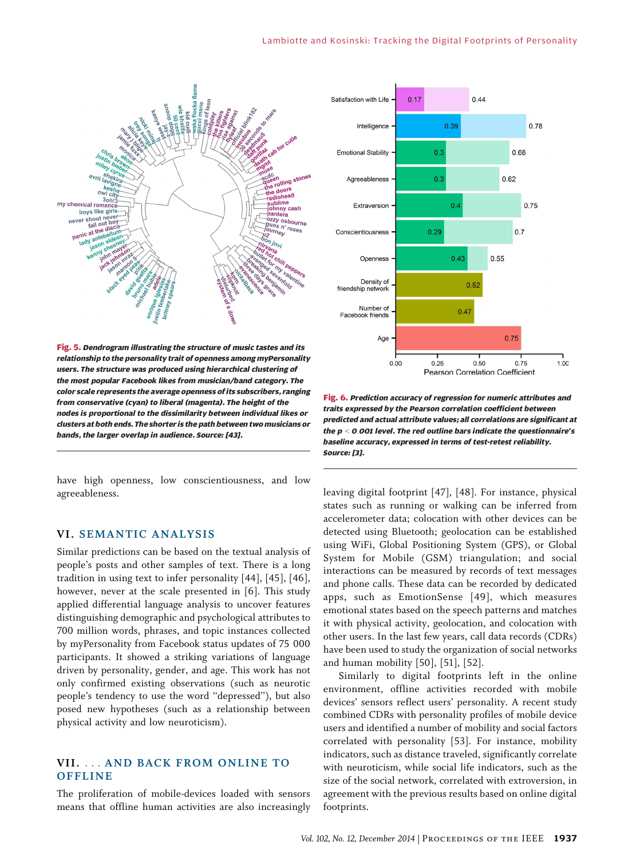

Fig. 5. Dendrogram illustrating the structure of music tastes and its relationship to the personality trait of openness among myPersonality users. The structure was produced using hierarchical clustering of the most popular Facebook likes from musician/band category. The color scale represents the average openness of its subscribers, ranging from conservative (cyan) to liberal (magenta). The height of the nodes is proportional to the dissimilarity between individual likes or clusters at both ends. The shorter is the path between two musicians or bands, the larger overlap in audience. Source: [43].

have high openness, low conscientiousness, and low agreeableness.

# VI. SEMANTIC ANALYSIS

Similar predictions can be based on the textual analysis of people's posts and other samples of text. There is a long tradition in using text to infer personality [44], [45], [46], however, never at the scale presented in [6]. This study applied differential language analysis to uncover features distinguishing demographic and psychological attributes to 700 million words, phrases, and topic instances collected by myPersonality from Facebook status updates of 75 000 participants. It showed a striking variations of language driven by personality, gender, and age. This work has not only confirmed existing observations (such as neurotic people's tendency to use the word ''depressed''), but also posed new hypotheses (such as a relationship between physical activity and low neuroticism).

# VII. ... AND BACK FROM ONLINE TO **OFFLINE**

The proliferation of mobile-devices loaded with sensors means that offline human activities are also increasingly



Fig. 6. Prediction accuracy of regression for numeric attributes and traits expressed by the Pearson correlation coefficient between predicted and actual attribute values; all correlations are significant at the  $p < 0.001$  level. The red outline bars indicate the questionnaire's baseline accuracy, expressed in terms of test-retest reliability. Source: [3].

leaving digital footprint [47], [48]. For instance, physical states such as running or walking can be inferred from accelerometer data; colocation with other devices can be detected using Bluetooth; geolocation can be established using WiFi, Global Positioning System (GPS), or Global System for Mobile (GSM) triangulation; and social interactions can be measured by records of text messages and phone calls. These data can be recorded by dedicated apps, such as EmotionSense [49], which measures emotional states based on the speech patterns and matches it with physical activity, geolocation, and colocation with other users. In the last few years, call data records (CDRs) have been used to study the organization of social networks and human mobility [50], [51], [52].

Similarly to digital footprints left in the online environment, offline activities recorded with mobile devices' sensors reflect users' personality. A recent study combined CDRs with personality profiles of mobile device users and identified a number of mobility and social factors correlated with personality [53]. For instance, mobility indicators, such as distance traveled, significantly correlate with neuroticism, while social life indicators, such as the size of the social network, correlated with extroversion, in agreement with the previous results based on online digital footprints.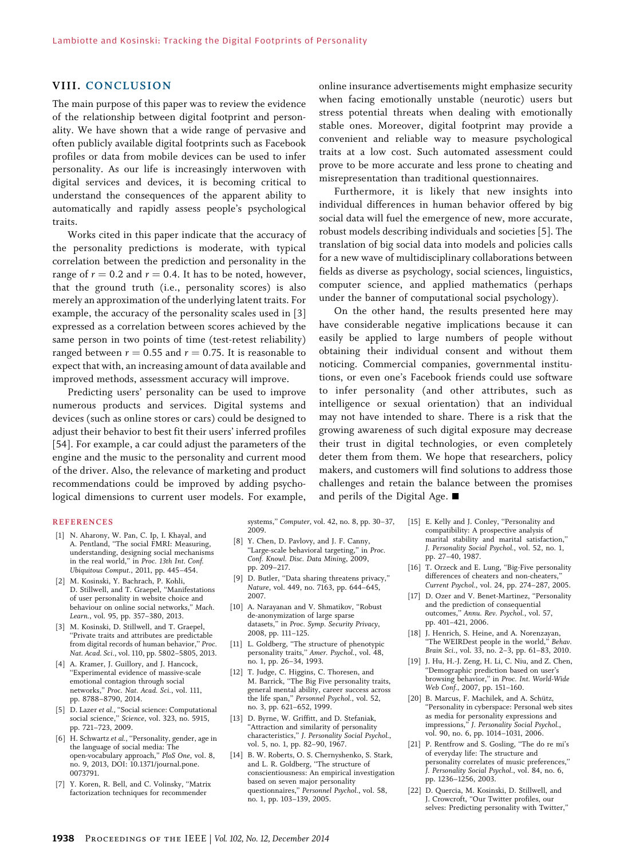## VIII. CONCLUSION

The main purpose of this paper was to review the evidence of the relationship between digital footprint and personality. We have shown that a wide range of pervasive and often publicly available digital footprints such as Facebook profiles or data from mobile devices can be used to infer personality. As our life is increasingly interwoven with digital services and devices, it is becoming critical to understand the consequences of the apparent ability to automatically and rapidly assess people's psychological traits.

Works cited in this paper indicate that the accuracy of the personality predictions is moderate, with typical correlation between the prediction and personality in the range of  $r = 0.2$  and  $r = 0.4$ . It has to be noted, however, that the ground truth (i.e., personality scores) is also merely an approximation of the underlying latent traits. For example, the accuracy of the personality scales used in [3] expressed as a correlation between scores achieved by the same person in two points of time (test-retest reliability) ranged between  $r = 0.55$  and  $r = 0.75$ . It is reasonable to expect that with, an increasing amount of data available and improved methods, assessment accuracy will improve.

Predicting users' personality can be used to improve numerous products and services. Digital systems and devices (such as online stores or cars) could be designed to adjust their behavior to best fit their users' inferred profiles [54]. For example, a car could adjust the parameters of the engine and the music to the personality and current mood of the driver. Also, the relevance of marketing and product recommendations could be improved by adding psychological dimensions to current user models. For example,

online insurance advertisements might emphasize security when facing emotionally unstable (neurotic) users but stress potential threats when dealing with emotionally stable ones. Moreover, digital footprint may provide a convenient and reliable way to measure psychological traits at a low cost. Such automated assessment could prove to be more accurate and less prone to cheating and misrepresentation than traditional questionnaires.

Furthermore, it is likely that new insights into individual differences in human behavior offered by big social data will fuel the emergence of new, more accurate, robust models describing individuals and societies [5]. The translation of big social data into models and policies calls for a new wave of multidisciplinary collaborations between fields as diverse as psychology, social sciences, linguistics, computer science, and applied mathematics (perhaps under the banner of computational social psychology).

On the other hand, the results presented here may have considerable negative implications because it can easily be applied to large numbers of people without obtaining their individual consent and without them noticing. Commercial companies, governmental institutions, or even one's Facebook friends could use software to infer personality (and other attributes, such as intelligence or sexual orientation) that an individual may not have intended to share. There is a risk that the growing awareness of such digital exposure may decrease their trust in digital technologies, or even completely deter them from them. We hope that researchers, policy makers, and customers will find solutions to address those challenges and retain the balance between the promises and perils of the Digital Age.  $\blacksquare$ 

#### REFERENCES

- [1] N. Aharony, W. Pan, C. Ip, I. Khayal, and A. Pentland, ''The social FMRI: Measuring, understanding, designing social mechanisms in the real world,'' in Proc. 13th Int. Conf. Ubiquitous Comput., 2011, pp. 445–454.
- [2] M. Kosinski, Y. Bachrach, P. Kohli, D. Stillwell, and T. Graepel, ''Manifestations of user personality in website choice and behaviour on online social networks,'' Mach. Learn., vol. 95, pp. 357–380, 2013.
- [3] M. Kosinski, D. Stillwell, and T. Graepel, ''Private traits and attributes are predictable from digital records of human behavior,'' Proc. Nat. Acad. Sci., vol. 110, pp. 5802–5805, 2013.
- [4] A. Kramer, J. Guillory, and J. Hancock, ''Experimental evidence of massive-scale emotional contagion through social networks,'' Proc. Nat. Acad. Sci., vol. 111, pp. 8788–8790, 2014.
- [5] D. Lazer et al., ''Social science: Computational social science,'' Science, vol. 323, no. 5915, pp. 721–723, 2009.
- [6] H. Schwartz et al., "Personality, gender, age in the language of social media: The open-vocabulary approach,'' PloS One, vol. 8, no. 9, 2013, DOI: 10.1371/journal.pone. 0073791.
- [7] Y. Koren, R. Bell, and C. Volinsky, ''Matrix factorization techniques for recommender

systems,'' Computer, vol. 42, no. 8, pp. 30–37, 2009.

- [8] Y. Chen, D. Pavlovy, and J. F. Canny, ''Large-scale behavioral targeting,'' in Proc. Conf. Knowl. Disc. Data Mining, 2009, pp. 209–217.
- [9] D. Butler, "Data sharing threatens privacy," Nature, vol. 449, no. 7163, pp. 644–645, 2007.
- [10] A. Narayanan and V. Shmatikov, "Robust de-anonymization of large sparse datasets,'' in Proc. Symp. Security Privacy, 2008, pp. 111–125.
- [11] L. Goldberg, ''The structure of phenotypic personality traits,'' Amer. Psychol., vol. 48, no. 1, pp. 26–34, 1993.
- [12] T. Judge, C. Higgins, C. Thoresen, and M. Barrick, ''The Big Five personality traits, general mental ability, career success across the life span,'' Personnel Psychol., vol. 52, no. 3, pp. 621–652, 1999.
- [13] D. Byrne, W. Griffitt, and D. Stefaniak, ''Attraction and similarity of personality characteristics,'' J. Personality Social Psychol., vol. 5, no. 1, pp. 82–90, 1967.
- [14] B. W. Roberts, O. S. Chernyshenko, S. Stark, and L. R. Goldberg, ''The structure of conscientiousness: An empirical investigation based on seven major personality questionnaires,'' Personnel Psychol., vol. 58, no. 1, pp. 103–139, 2005.
- [15] E. Kelly and J. Conley, "Personality and compatibility: A prospective analysis of marital stability and marital satisfaction,'' J. Personality Social Psychol., vol. 52, no. 1, pp. 27–40, 1987.
- [16] T. Orzeck and E. Lung, ''Big-Five personality differences of cheaters and non-cheaters, Current Psychol., vol. 24, pp. 274–287, 2005.
- [17] D. Ozer and V. Benet-Martinez, "Personality and the prediction of consequential outcomes,'' Annu. Rev. Psychol., vol. 57, pp. 401–421, 2006.
- [18] J. Henrich, S. Heine, and A. Norenzayan, "The WEIRDest people in the world," Behav. Brain Sci., vol. 33, no. 2–3, pp. 61–83, 2010.
- [19] J. Hu, H.-J. Zeng, H. Li, C. Niu, and Z. Chen, ''Demographic prediction based on user's browsing behavior,'' in Proc. Int. World-Wide Web Conf., 2007, pp. 151–160.
- [20] B. Marcus, F. Machilek, and A. Schütz, ''Personality in cyberspace: Personal web sites as media for personality expressions and impressions,'' J. Personality Social Psychol., vol. 90, no. 6, pp. 1014–1031, 2006.
- [21] P. Rentfrow and S. Gosling, "The do re mi's of everyday life: The structure and personality correlates of music preferences,'' J. Personality Social Psychol., vol. 84, no. 6, pp. 1236–1256, 2003.
- [22] D. Quercia, M. Kosinski, D. Stillwell, and J. Crowcroft, ''Our Twitter profiles, our selves: Predicting personality with Twitter,''